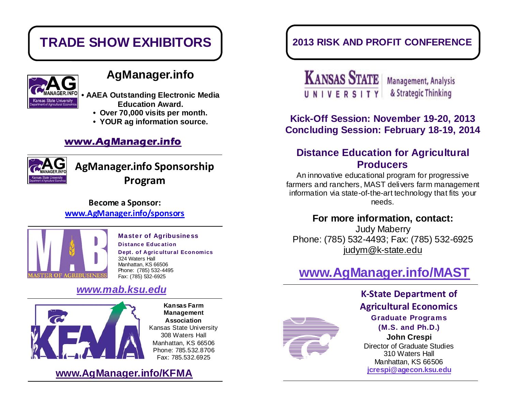

## **AgManager.info**

**• AAEA Outstanding Electronic Media Education Award.** 

- **Over 70,000 visits per month.**
- **YOUR ag information source.**

#### **www.AgManager.info**



**AgManager.info Sponsorship Program**

#### **Become a Sponsor: www.AgManager.info/sponsors**



#### Master of Agribusiness Distance Education

Dept. of Agricultural Economics 324 Waters Hall Manhattan, KS 66506 Phone: (785) 532-4495 Fax: (785) 532-6925

### *www.mab.ksu.edu*



**Kansas Farm Management Association** Kansas State University 308 Waters Hall Manhattan, KS 66506 Phone: 785.532.8706 Fax: 785.532.6925

**www.AgManager.info/KFMA**

## **TRADE SHOW EXHIBITORS 2013 RISK AND PROFIT CONFERENCE**

**KANSAS STATE Management, Analysis** UNIVERSITY & Strategic Thinking

### **Kick-Off Session: November 19-20, 2013 Concluding Session: February 18-19, 2014**

### **Distance Education for Agricultural Producers**

An innovative educational program for progressive farmers and ranchers, MAST delivers farm management information via state-of-the-art technology that fits your needs.

#### **For more information, contact:**

Judy Maberry Phone: (785) 532-4493; Fax: (785) 532-6925 judym@k-state.edu

# **www.AgManager.info/MAST**



**K-State Department of Agricultural Economics** Graduate Programs (M.S. and Ph.D.) **John Crespi**  Director of Graduate Studies 310 Waters Hall Manhattan, KS 66506 **jcrespi@agecon.ksu.edu**